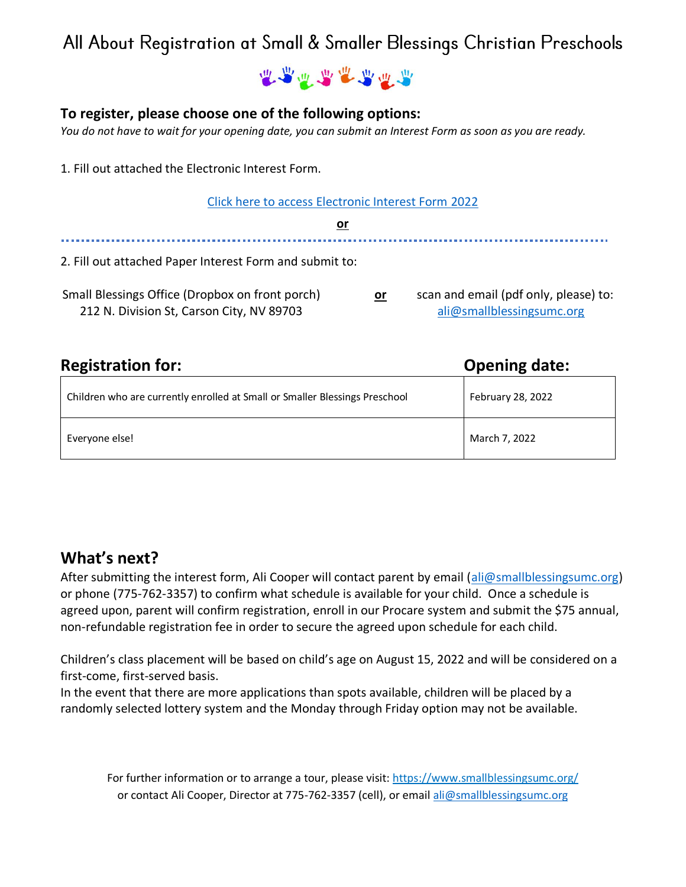### All About Registration at Small & Smaller Blessings Christian Preschools

建造造造造造造

#### **To register, please choose one of the following options:**

*You do not have to wait for your opening date, you can submit an Interest Form as soon as you are ready.*

1. Fill out attached the Electronic Interest Form.

[Click here to access Electronic Interest Form](https://forms.gle/mtTwe62ETckTx3bs6) 2022

**or** 2. Fill out attached Paper Interest Form and submit to: Small Blessings Office (Dropbox on front porch) 212 N. Division St, Carson City, NV 89703 **or** scan and email (pdf only, please) to: [ali@smallblessingsumc.org](mailto:ali@smallblessingsumc.org)

| <b>Registration for:</b>                                                    | <b>Opening date:</b> |  |
|-----------------------------------------------------------------------------|----------------------|--|
| Children who are currently enrolled at Small or Smaller Blessings Preschool | February 28, 2022    |  |
| Everyone else!                                                              | March 7, 2022        |  |

#### **What's next?**

After submitting the interest form, Ali Cooper will contact parent by email [\(ali@smallblessingsumc.org\)](mailto:ali@smallblessingsumc.org) or phone (775-762-3357) to confirm what schedule is available for your child. Once a schedule is agreed upon, parent will confirm registration, enroll in our Procare system and submit the \$75 annual, non-refundable registration fee in order to secure the agreed upon schedule for each child.

Children's class placement will be based on child's age on August 15, 2022 and will be considered on a first-come, first-served basis.

In the event that there are more applications than spots available, children will be placed by a randomly selected lottery system and the Monday through Friday option may not be available.

For further information or to arrange a tour, please visit: <https://www.smallblessingsumc.org/> or contact Ali Cooper, Director at 775-762-3357 (cell), or emai[l ali@smallblessingsumc.org](mailto:ali@smallblessingsumc.org)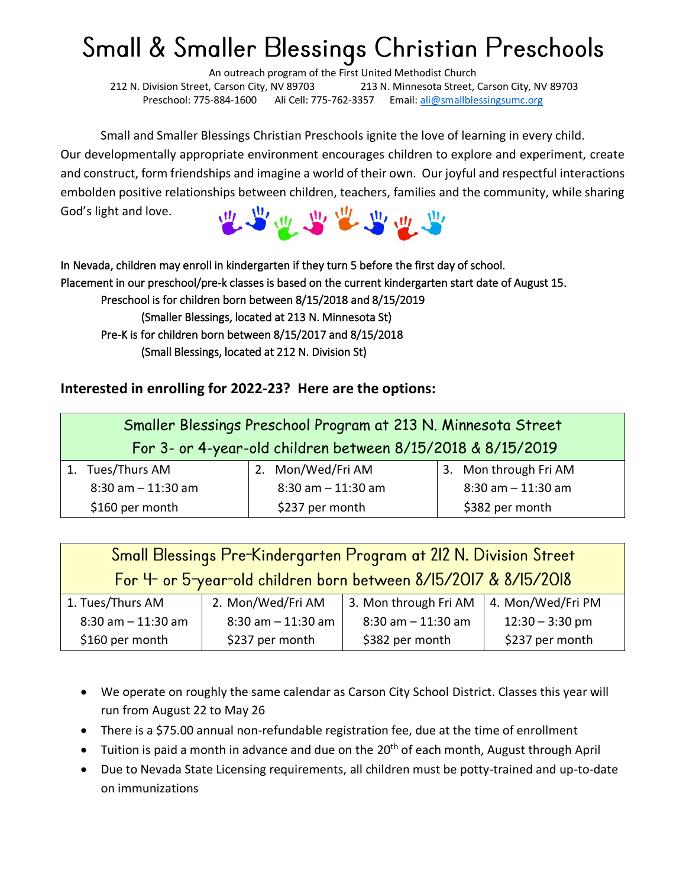# Small & Smaller Blessings Christian Preschools

An outreach program of the First United Methodist Church 212 N. Division Street, Carson City, NV 89703 213 N. Minnesota Street, Carson City, NV 89703 Preschool: 775-884-1600 Ali Cell: 775-762-3357 Email: [ali@smallblessingsumc.org](mailto:ali@smallblessingsumc.org)

Small and Smaller Blessings Christian Preschools ignite the love of learning in every child. Our developmentally appropriate environment encourages children to explore and experiment, create and construct, form friendships and imagine a world of their own. Our joyful and respectful interactions embolden positive relationships between children, teachers, families and the community, while sharing God's light and love.



In Nevada, children may enroll in kindergarten if they turn 5 before the first day of school. Placement in our preschool/pre-k classes is based on the current kindergarten start date of August 15. Preschool is for children born between 8/15/2018 and 8/15/2019 (Smaller Blessings, located at 213 N. Minnesota St) Pre-K is for children born between 8/15/2017 and 8/15/2018 (Small Blessings, located at 212 N. Division St)

#### **Interested in enrolling for 2022-23? Here are the options:**

|                                                             | Smaller Blessings Preschool Program at 213 N. Minnesota Street |    |                       |  |                       |
|-------------------------------------------------------------|----------------------------------------------------------------|----|-----------------------|--|-----------------------|
| For 3- or 4-year-old children between 8/15/2018 & 8/15/2019 |                                                                |    |                       |  |                       |
|                                                             | 1. Tues/Thurs AM                                               | 2. | Mon/Wed/Fri AM        |  | 3. Mon through Fri AM |
|                                                             | $8:30$ am $-11:30$ am                                          |    | $8:30$ am $-11:30$ am |  | $8:30$ am $-11:30$ am |
|                                                             | \$160 per month                                                |    | \$237 per month       |  | \$382 per month       |

| Small Blessings Pre-Kindergarten Program at 212 N. Division Street |                       |                       |                   |  |  |  |
|--------------------------------------------------------------------|-----------------------|-----------------------|-------------------|--|--|--|
| For 4- or 5-year-old children born between 8/15/2017 & 8/15/2018   |                       |                       |                   |  |  |  |
| 1. Tues/Thurs AM                                                   | 2. Mon/Wed/Fri AM     | 3. Mon through Fri AM | 4. Mon/Wed/Fri PM |  |  |  |
| $8:30$ am $-11:30$ am                                              | $8:30$ am $-11:30$ am | $8:30$ am $-11:30$ am | $12:30 - 3:30$ pm |  |  |  |
| \$160 per month                                                    | \$237 per month       | \$382 per month       | \$237 per month   |  |  |  |

- We operate on roughly the same calendar as Carson City School District. Classes this year will run from August 22 to May 26
- There is a \$75.00 annual non-refundable registration fee, due at the time of enrollment
- Tuition is paid a month in advance and due on the  $20<sup>th</sup>$  of each month, August through April
- Due to Nevada State Licensing requirements, all children must be potty-trained and up-to-date on immunizations